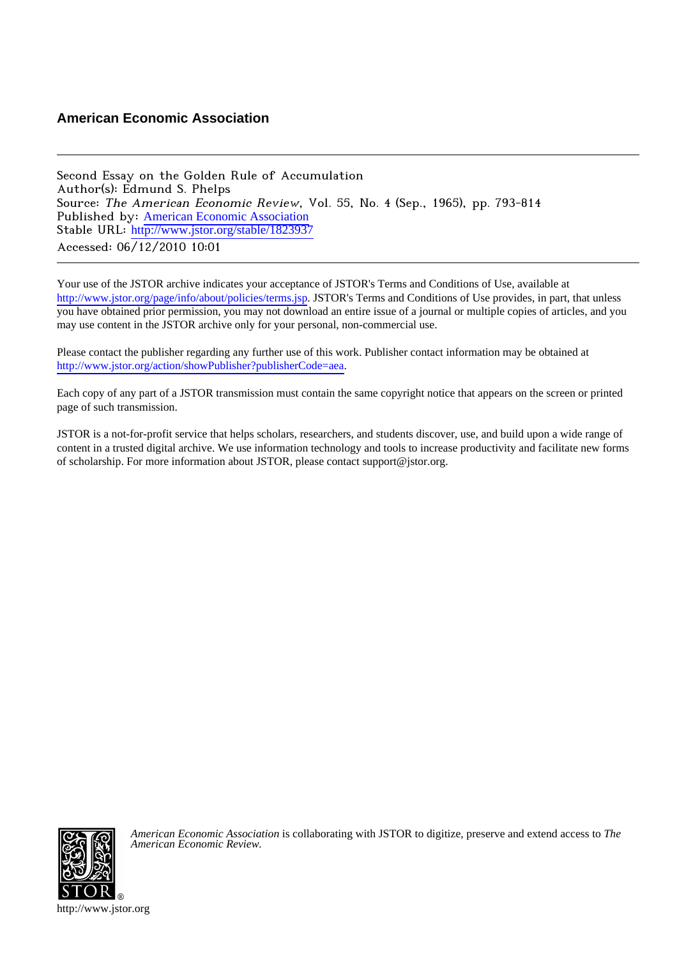# **American Economic Association**

Second Essay on the Golden Rule of Accumulation Author(s): Edmund S. Phelps Source: The American Economic Review, Vol. 55, No. 4 (Sep., 1965), pp. 793-814 Published by: [American Economic Association](http://www.jstor.org/action/showPublisher?publisherCode=aea) Stable URL: [http://www.jstor.org/stable/1823937](http://www.jstor.org/stable/1823937?origin=JSTOR-pdf) Accessed: 06/12/2010 10:01

Your use of the JSTOR archive indicates your acceptance of JSTOR's Terms and Conditions of Use, available at <http://www.jstor.org/page/info/about/policies/terms.jsp>. JSTOR's Terms and Conditions of Use provides, in part, that unless you have obtained prior permission, you may not download an entire issue of a journal or multiple copies of articles, and you may use content in the JSTOR archive only for your personal, non-commercial use.

Please contact the publisher regarding any further use of this work. Publisher contact information may be obtained at <http://www.jstor.org/action/showPublisher?publisherCode=aea>.

Each copy of any part of a JSTOR transmission must contain the same copyright notice that appears on the screen or printed page of such transmission.

JSTOR is a not-for-profit service that helps scholars, researchers, and students discover, use, and build upon a wide range of content in a trusted digital archive. We use information technology and tools to increase productivity and facilitate new forms of scholarship. For more information about JSTOR, please contact support@jstor.org.



*American Economic Association* is collaborating with JSTOR to digitize, preserve and extend access to *The American Economic Review.*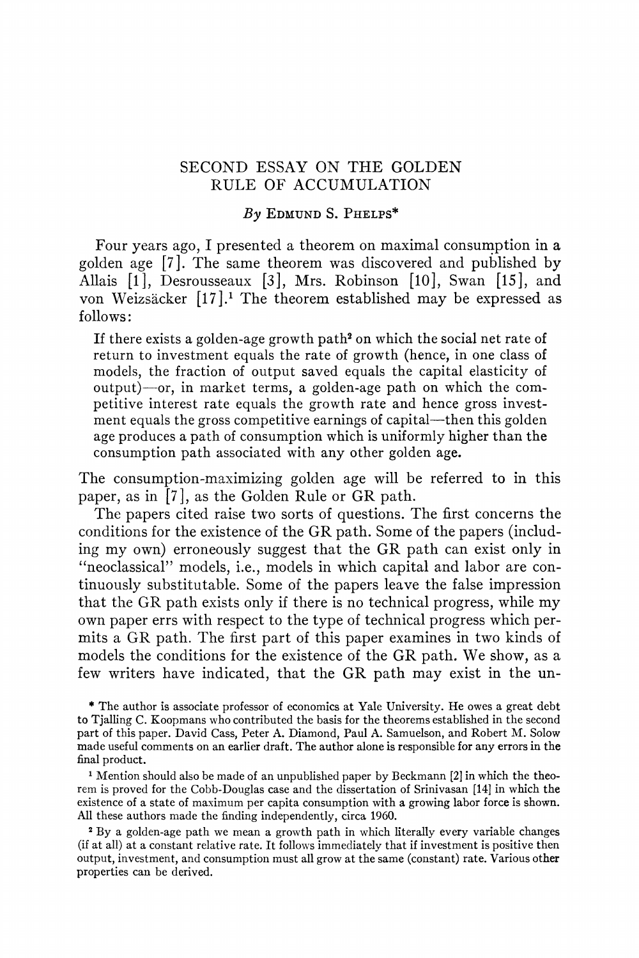# **SECOND ESSAY ON THE GOLDEN RULE OF ACCUMULATION**

# **By EDMUND S. PHELPS\***

**Four years ago, I presented a theorem on maximal consumption in a golden age [7]. The same theorem was discovered and published by Allais [1], Desrousseaux [3], Mrs. Robinson [10], Swan [15], and von Weizsacker [17].1 The theorem established may be expressed as follows:** 

**If there exists a golden-age growth path2 on which the social net rate of return to investment equals the rate of growth (hence, in one class of models, the fraction of output saved equals the capital elasticity of output)-or, in market terms, a golden-age path on which the competitive interest rate equals the growth rate and hence gross invest**ment equals the gross competitive earnings of capital—then this golden **age produces a path of consumption which is uniformly higher than the consumption path associated with any other golden age.** 

**The consumption-maximizing golden age will be referred to in this paper, as in [7], as the Golden Rule or GR path.** 

**The papers cited raise two sorts of questions. The first concerns the conditions for the existence of the GR path. Some of the papers (including my own) erroneously suggest that the GR path can exist only in "neoclassical" models, i.e., models in which capital and labor are continuously substitutable. Some of the papers leave the false impression that the GR path exists only if there is no technical progress, while my own paper errs with respect to the type of technical progress which permits a GR path. The first part of this paper examines in two kinds of models the conditions for the existence of the GR path. We show, as a few writers have indicated, that the GR path may exist in the un-** 

**\* The author is associate professor of economics at Yale University. He owes a great debt to Tjalling C. Koopmans who contributed the basis for the theorems established in the second part of this paper. David Cass, Peter A. Diamond, Paul A. Samuelson, and Robert M. Solow made useful comments on an earlier draft. The author alone is responsible for any errors in the final product.** 

**1 Mention should also be made of an unpublished paper by Beckmann [2] in which the theorem is proved for the Cobb-Douglas case and the dissertation of Srinivasan [14] in which the existence of a state of maximum per capita consumption with a growing labor force is shown. All these authors made the finding independently, circa 1960.** 

**<sup>2</sup>By a golden-age path we mean a growth path in which literally every variable changes (if at all) at a constant relative rate. It follows immediately that if investment is positive then output, investment, and consumptioin must all grow at the same (constant) rate. Various other properties can be derived.**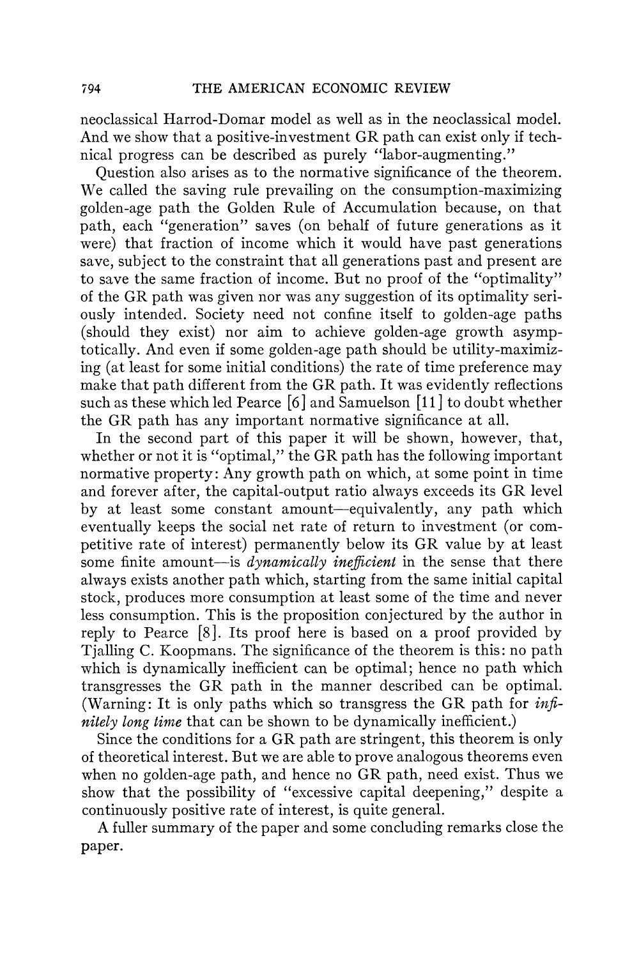**neoclassical Harrod-Domar model as well as in the neoclassical model. And we show that a positive-investment GR path can exist only if technical progress can be described as purely "labor-augmenting."** 

**Question also arises as to the normative significance of the theorem. We called the saving rule prevailing on the consumption-maximizing golden-age path the Golden Rule of Accumulation because, on that path, each "generation" saves (on behalf of future generations as it were) that fraction of income which it would have past generations save, subject to the constraint that all generations past and present are to save the same fraction of income. But no proof of the "optimality" of the GR path was given nor was any suggestion of its optimality seriously intended. Society need not confine itself to golden-age paths (should they exist) nor aim to achieve golden-age growth asymptotically. And even if some golden-age path should be utility-maximizing (at least for some initial conditions) the rate of time preference may make that path different from the GR path. It was evidently reflections such as these which led Pearce [6 ] and Samuelson [i1 ] to doubt whether the GR path has any important normative significance at all.** 

**In the second part of this paper it will be shown, however, that, whether or not it is "optimal," the GR path has the following important normative property: Any growth path on which, at some point in time and forever after, the capital-output ratio always exceeds its GR level by at least some constant amount-equivalently, any path which eventually keeps the social net rate of return to investment (or competitive rate of interest) permanently below its GR value by at least**  some finite amount—is *dynamically inefficient* in the sense that there **always exists another path which, starting from the same initial capital stock, produces more consumption at least some of the time and never less consumption. This is the proposition conjectured by the author in reply to Pearce [8]. Its proof here is based on a proof provided by Tjalling C. Koopmans. The significance of the theorem is this: no path which is dynamically inefficient can be optimal; hence no path which transgresses the GR path in the manner described can be optimal. (Warning: It is only paths which so transgress the GR path for infinitely long time that can be shown to be dynamically inefficient.)** 

**Since the conditions for a GR path are stringent, this theorem is only of theoretical interest. But we are able to prove analogous theorems even when no golden-age path, and hence no GR path, need exist. Thus we show that the possibility of "excessive capital deepening," despite a continuously positive rate of interest, is quite general.** 

**A fuller summary of the paper and some concluding remarks close the paper.**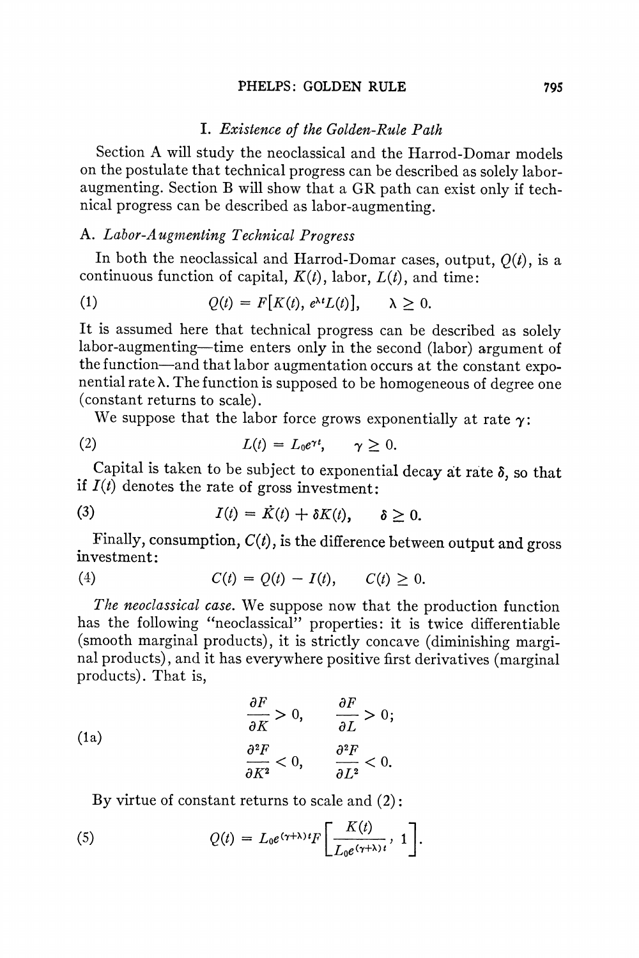#### PHELPS: GOLDEN RULE 795

### **I. Existence of the Golden-Rule Path**

**Section A will study the neoclassical and the Harrod-Domar models on the postulate that technical progress can be described as solely laboraugmenting. Section B will show that a GR path can exist only if technical progress can be described as labor-augmenting.** 

# A. Labor-Augmenting Technical Progress

**In both the neoclassical and Harrod-Domar cases, output, Q(t), is a**  continuous function of capital,  $K(t)$ , labor,  $L(t)$ , and time:

(1) 
$$
Q(t) = F[K(t), e^{\lambda t}L(t)], \quad \lambda \geq 0.
$$

**It is assumed here that technical progress can be described as solely labor-augmenting-time enters only in the second (labor) argument of the function-and that labor augmentation occurs at the constant exponential rate X. The function is supposed to be homogeneous of degree one (constant returns to scale).** 

We suppose that the labor force grows exponentially at rate  $\gamma$ :

(2) 
$$
L(t) = L_0 e^{\gamma t}, \quad \gamma \geq 0.
$$

Capital is taken to be subject to exponential decay at rate  $\delta$ , so that if  $I(t)$  denotes the rate of gross investment:

(3) 
$$
I(t) = \dot{K}(t) + \delta K(t), \quad \delta \geq 0.
$$

**Finally, consumption, C(t), is the difference between output and gross investment:** 

(4) 
$$
C(t) = Q(t) - I(t), \quad C(t) \geq 0.
$$

**The neoclassical case. We suppose now that the production function has the following "neoclassical" properties: it is twice differentiable (smooth marginal products), it is strictly concave (diminishing marginal products), and it has everywhere positive first derivatives (marginal products). That is,** 

(1a)  
\n
$$
\frac{\partial F}{\partial K} > 0, \qquad \frac{\partial F}{\partial L} > 0;
$$
\n
$$
\frac{\partial^2 F}{\partial K^2} < 0, \qquad \frac{\partial^2 F}{\partial L^2} < 0.
$$

**By virtue of constant returns to scale and (2):** 

(5) 
$$
Q(t) = L_0 e^{(\gamma + \lambda)t} F\left[\frac{K(t)}{L_0 e^{(\gamma + \lambda)t}}, 1\right].
$$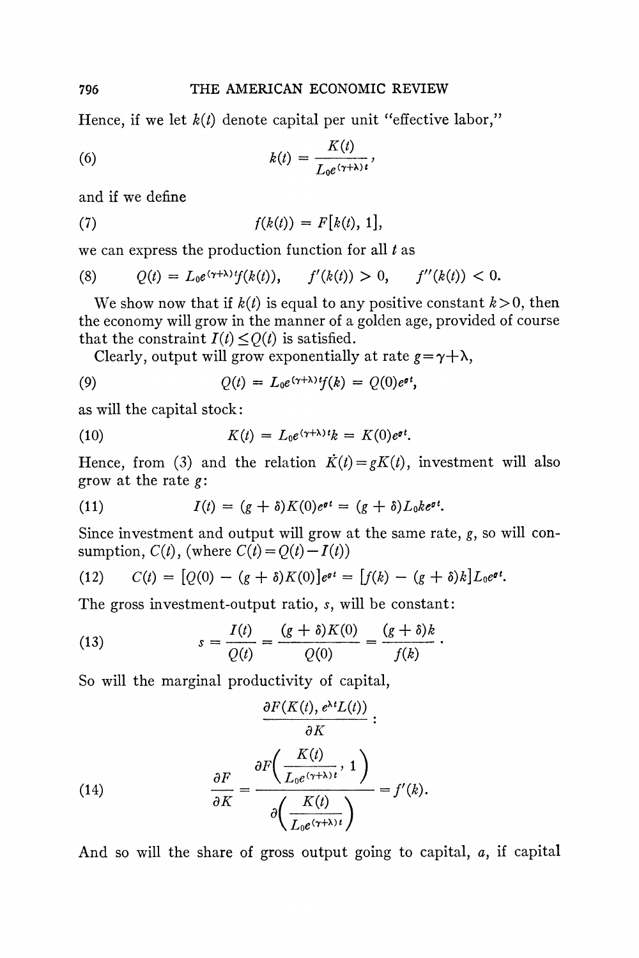**Hence, if we let k(t) denote capital per unit "effective labor,"** 

(6) 
$$
k(t) = \frac{K(t)}{L_0 e^{(\gamma + \lambda)t}},
$$

**and if we define** 

(7) 
$$
f(k(t)) = F[k(t), 1],
$$

**we can express the production function for all t as** 

(8) 
$$
Q(t) = L_0 e^{(\gamma + \lambda)t} f(k(t)), \quad f'(k(t)) > 0, \quad f''(k(t)) < 0.
$$

We show now that if  $k(t)$  is equal to any positive constant  $k > 0$ , then **the economy will grow in the manner of a golden age, provided of course**  that the constraint  $I(t) \leq Q(t)$  is satisfied.

Clearly, output will grow exponentially at rate  $g = \gamma + \lambda$ ,

(9) 
$$
Q(t) = L_0 e^{(\gamma + \lambda) t} f(k) = Q(0) e^{\sigma t},
$$

**as will the capital stock:** 

(10) 
$$
K(t) = L_0 e^{(\gamma + \lambda)t} k = K(0) e^{\sigma t}.
$$

**Hence, from (3) and the relation**  $\dot{K}(t) = gK(t)$ **, investment will also grow at the rate g:** 

(11) 
$$
I(t) = (g + \delta)K(0)e^{\sigma t} = (g + \delta)L_0k e^{\sigma t}.
$$

**Since investment and output will grow at the same rate, g, so will con**sumption,  $C(t)$ , (where  $C(t) = Q(t) - I(t)$ )

(12) 
$$
C(t) = [Q(0) - (g + \delta)K(0)]e^{\theta t} = [f(k) - (g + \delta)k]L_0e^{\theta t}.
$$

**The gross investment-output ratio, s, will be constant:** 

(13) 
$$
s = \frac{I(t)}{Q(t)} = \frac{(g+\delta)K(0)}{Q(0)} = \frac{(g+\delta)k}{f(k)}
$$

**So will the marginal productivity of capital,** 

(14)  
\n
$$
\frac{\partial F(K(t), e^{\lambda t}L(t))}{\partial K}:
$$
\n
$$
\frac{\partial F}{\partial K} = \frac{\partial F\left(\frac{K(t)}{L_0 e^{(\gamma+\lambda)t}}, 1\right)}{\partial \left(\frac{K(t)}{L_0 e^{(\gamma+\lambda)t}}\right)} = f'(k).
$$

**And so will the share of gross output going to capital, a, if capital**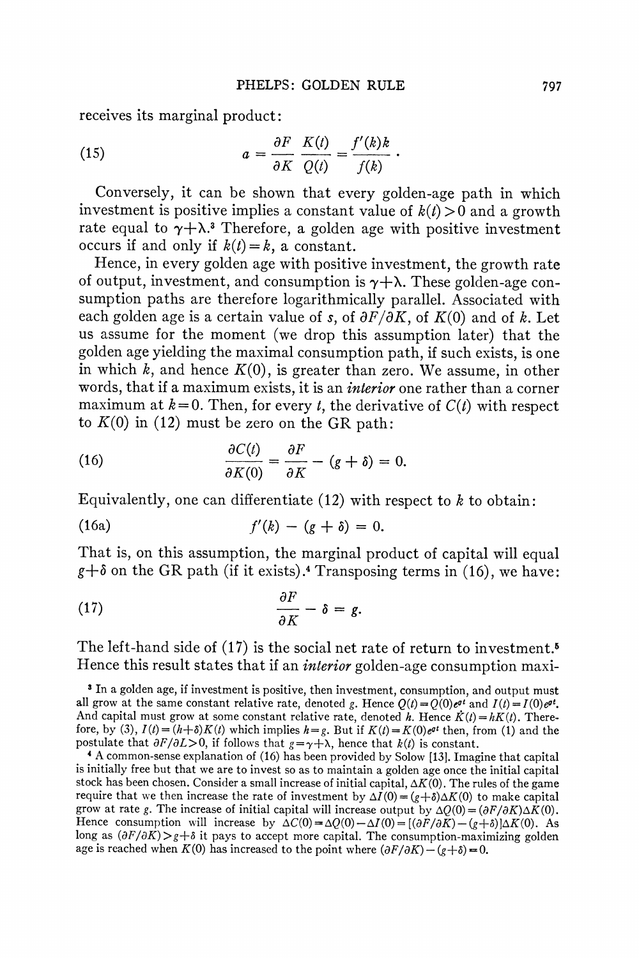**receives its marginal product:** 

(15) 
$$
a = \frac{\partial F}{\partial K} \frac{K(t)}{Q(t)} = \frac{f'(k)k}{f(k)}.
$$

**Conversely, it can be shown that every golden-age path in which**  investment is positive implies a constant value of  $k(t) > 0$  and a growth rate equal to  $\gamma + \lambda$ <sup>3</sup> Therefore, a golden age with positive investment occurs if and only if  $k(t) = k$ , a constant.

**Hence, in every golden age with positive investment, the growth rate**  of output, investment, and consumption is  $\gamma + \lambda$ . These golden-age con**sumption paths are therefore logarithmically parallel. Associated with**  each golden age is a certain value of s, of  $\partial F/\partial K$ , of  $K(0)$  and of k. Let **us assume for the moment (we drop this assumption later) that the golden age yielding the maximal consumption path, if such exists, is one**  in which  $k$ , and hence  $K(0)$ , is greater than zero. We assume, in other **words, that if a maximum exists, it is an interior one rather than a corner**  maximum at  $k=0$ . Then, for every t, the derivative of  $C(t)$  with respect **to K(O) in (12) must be zero on the GR path:** 

(16) 
$$
\frac{\partial C(t)}{\partial K(0)} = \frac{\partial F}{\partial K} - (g + \delta) = 0.
$$

**Equivalently, one can differentiate (12) with respect to k to obtain:** 

(16a) 
$$
f'(k) - (g + \delta) = 0.
$$

**That is, on this assumption, the marginal product of capital will equal**   $g+\delta$  on the GR path (if it exists).<sup>4</sup> Transposing terms in (16), we have:

$$
\frac{\partial F}{\partial K} - \delta = g
$$

**The left-hand side of (17) is the social net rate of return to investment.5 Hence this result states that if an interior golden-age consumption maxi-**

**<sup>3</sup> In a golden age, if investment is positive, then investment, consumption, and output must**  all grow at the same constant relative rate, denoted g. Hence  $Q(t) = Q(0)e^{\sigma t}$  and  $I(t) = I(0)e^{\sigma t}$ . And capital must grow at some constant relative rate, denoted h. Hence  $\vec{K}(t) = hK(t)$ . Therefore, by (3),  $I(t) = (h+\delta)K(t)$  which implies  $h = g$ . But if  $K(t) = K(0)e^{\sigma t}$  then, from (1) and the postulate that  $\partial F/\partial L > 0$ , if follows that  $g = \gamma + \lambda$ , hence that  $k(t)$  is constant.

**<sup>4</sup>A common-sense explanation of (16) has been provided by Solow [13]. Imagine that capital is initially free but that we are to invest so as to maintain a golden age once the initial capital stock has been chosen. Consider a small increase of initial capital, AK(O). The rules of the game require that we then increase the rate of investment by**  $\Delta I(0) = (g+\delta)\Delta K(0)$  **to make capital** grow at rate g. The increase of initial capital will increase output by  $\Delta Q(0) = (\partial F/\partial K)\Delta K(0)$ . **Hence consumption will increase by**  $\Delta C(0) = \Delta Q(0) - \Delta I(0) = [(\partial F/\partial K) - (g+\delta)]\Delta K(0)$ **. As** long as  $(\partial F/\partial K)$  >  $g$  +  $\delta$  it pays to accept more capital. The consumption-maximizing golden **age is reached when K(0) has increased to the point where**  $(\partial F/\partial K) - (g+\delta) = 0$ **.**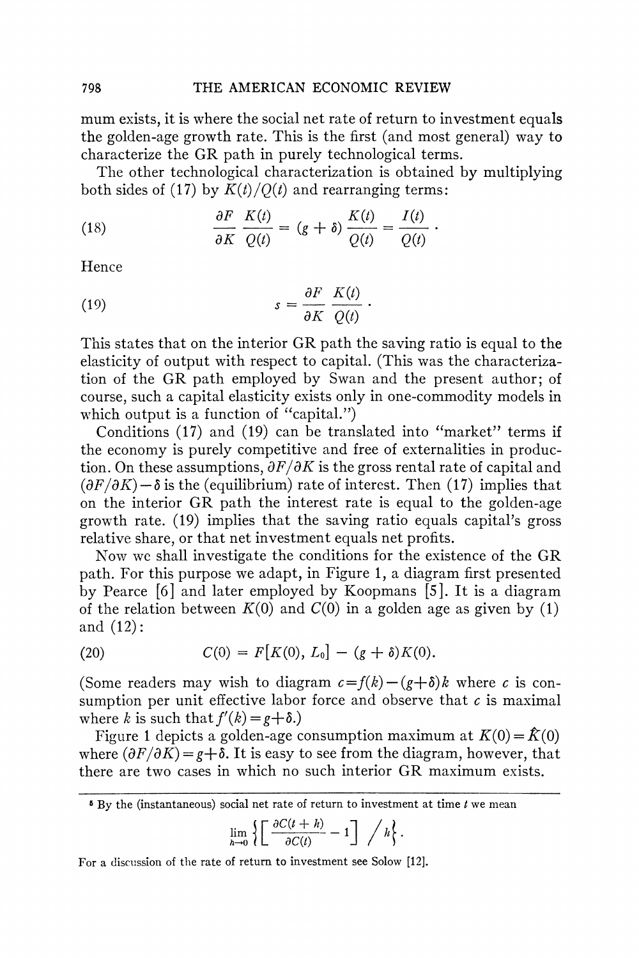**mum exists, it is where the social net rate of return to investment equals the golden-age growth rate. This is the first (and most general) way to characterize the GR path in purely technological terms.** 

**The other technological characterization is obtained by multiplying**  both sides of (17) by  $K(t)/Q(t)$  and rearranging terms:

(18) 
$$
\frac{\partial F}{\partial K} \frac{K(t)}{Q(t)} = (g + \delta) \frac{K(t)}{Q(t)} = \frac{I(t)}{Q(t)}.
$$

**Hence** 

(19) 
$$
s = \frac{\partial F}{\partial K} \frac{K(t)}{Q(t)}.
$$

**This states that on the interior GR path the saving ratio is equal to the elasticity of output with respect to capital. (This was the characterization of the GR path employed by Swan and the present author; of course, such a capital elasticity exists only in one-commodity models in which output is a function of "capital.")** 

**Conditions (17) and (19) can be translated into "market" terms if the economy is purely competitive and free of externalities in produc**tion. On these assumptions,  $\partial F/\partial K$  is the gross rental rate of capital and  $(\partial F/\partial K)$  –  $\delta$  is the (equilibrium) rate of interest. Then (17) implies that **on the interior GR path the interest rate is equal to the golden-age growth rate. (19) implies that the saving ratio equals capital's gross relative share, or that net investment equals net profits.** 

**Now we shall investigate the conditions for the existence of the GR path. For this purpose we adapt, in Figure 1, a diagram first presented by Pearce [6] and later employed by Koopmans [5]. It is a diagram**  of the relation between  $K(0)$  and  $C(0)$  in a golden age as given by (1) **and (12):** 

(20) 
$$
C(0) = F[K(0), L_0] - (g + \delta)K(0).
$$

(Some readers may wish to diagram  $c = f(k) - (g + \delta)k$  where c is con**sumption per unit effective labor force and observe that c is maximal**  where k is such that  $f'(k) = g + \delta$ .)

Figure 1 depicts a golden-age consumption maximum at  $K(0) = \hat{K}(0)$ where  $(\partial F/\partial K) = g + \delta$ . It is easy to see from the diagram, however, that **there are two cases in which no such interior GR maximum exists.** 

$$
\lim_{h\to 0}\left\{\left[\frac{\partial C(t+h)}{\partial C(t)}-1\right]\bigg/h\right\}.
$$

**For a discussion of the rate of return to investment see Solow [12].** 

**<sup>5</sup> By the (instantaneous) social net rate of return to investment at time t we mean**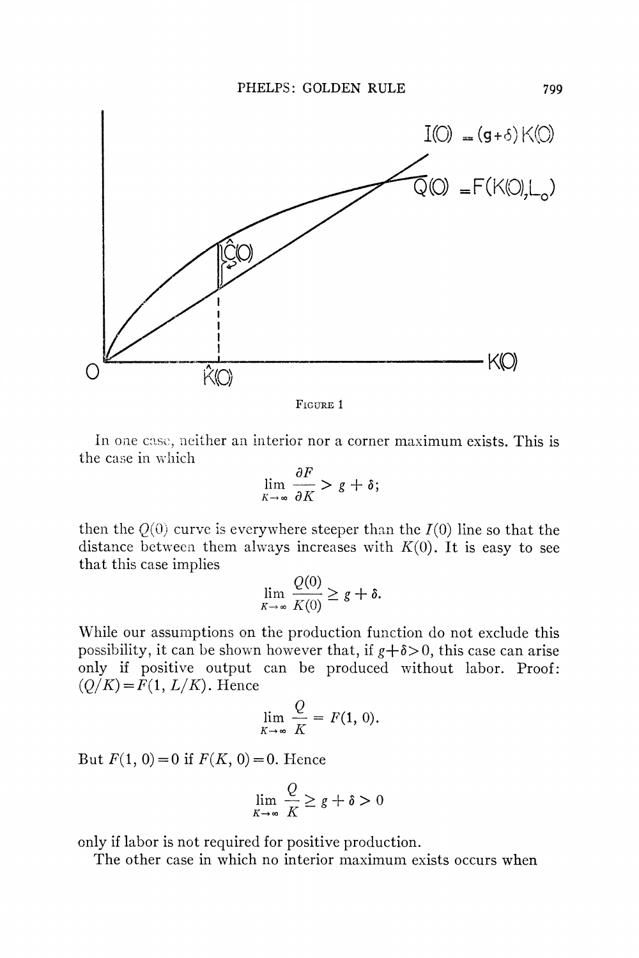

**FIGURE 1** 

In one case, neither an interior nor a corner maximum exists. This is **the case in whiich** 

$$
\lim_{K\to\infty}\frac{\partial F}{\partial K} > g+\delta;
$$

then the  $Q(0)$  curve is everywhere steeper than the  $I(0)$  line so that the distance between them always increases with  $K(0)$ . It is easy to see **that this case implies** 

$$
\lim_{K\to\infty}\frac{Q(0)}{K(0)}\geq g+\delta.
$$

**Wlhile our assumptions on the production function do not exclude this**  possibility, it can be shown however that, if  $g + \delta > 0$ , this case can arise **only if positive output can be produced without labor. Proof:**   $(Q/K) = F(1, L/K)$ . Hence

$$
\lim_{K\to\infty}\frac{Q}{K}=F(1, 0).
$$

But  $F(1, 0) = 0$  if  $F(K, 0) = 0$ . Hence

$$
\lim_{K \to \infty} \frac{Q}{K} \ge g + \delta > 0
$$

**only if labor is not required for positive production.** 

**The other case in which no interior maximum exists occurs when**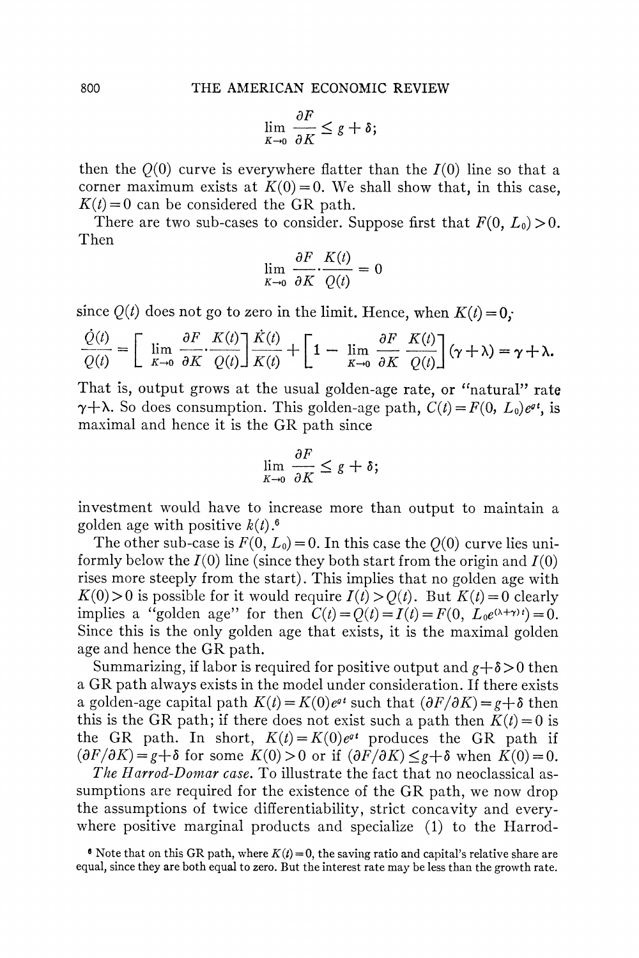$$
\lim_{K\to 0}\frac{\partial F}{\partial K}\leq g+\delta;
$$

then the  $Q(0)$  curve is everywhere flatter than the  $I(0)$  line so that a corner maximum exists at  $K(0) = 0$ . We shall show that, in this case,  $K(t) = 0$  can be considered the GR path.

There are two sub-cases to consider. Suppose first that  $F(0, L_0) > 0$ . **Then** 

$$
\lim_{K \to 0} \frac{\partial F}{\partial K} \cdot \frac{K(t)}{Q(t)} = 0
$$

since  $Q(t)$  does not go to zero in the limit. Hence, when  $K(t) = 0$ ;

$$
\frac{\dot{Q}(t)}{Q(t)} = \left[ \lim_{K \to 0} \frac{\partial F}{\partial K} \cdot \frac{K(t)}{Q(t)} \right] \frac{\dot{K}(t)}{K(t)} + \left[ 1 - \lim_{K \to 0} \frac{\partial F}{\partial K} \cdot \frac{K(t)}{Q(t)} \right] (\gamma + \lambda) = \gamma + \lambda.
$$

**That is, output grows at the usual golden-age rate, or "natural" rate**   $\gamma + \lambda$ . So does consumption. This golden-age path,  $C(t) = F(0, L_0)e^{gt}$ , is **maximal and hence it is the GR path since** 

$$
\lim_{K\to 0}\frac{\partial F}{\partial K}\leq g+\delta;
$$

**investment would have to increase more than output to maintain a golden age with positive**  $k(t)$ **.<sup>6</sup>** 

The other sub-case is  $F(0, L_0) = 0$ . In this case the  $Q(0)$  curve lies uniformly below the  $I(0)$  line (since they both start from the origin and  $I(0)$ ) **rises more steeply from the start). This implies that no golden age with**   $K(0) > 0$  is possible for it would require  $I(t) > O(t)$ . But  $K(t) = 0$  clearly **implies a "golden age" for then**  $C(t) = Q(t) = I(t) = F(0, L_0e^{(\lambda+\gamma)t}) = 0$ **. Since this is the only golden age that exists, it is the maximal golden age and hence the GR path.** 

Summarizing, if labor is required for positive output and  $g + \delta > 0$  then **a GR path always exists in the model under consideration. If there exists a** golden-age capital path  $K(t) = K(0)e^{qt}$  such that  $(\partial F/\partial K) = g + \delta$  then this is the GR path; if there does not exist such a path then  $K(t) = 0$  is the GR path. In short,  $K(t) = K(0)e^{qt}$  produces the GR path if  $(\partial F/\partial K) = g + \delta$  for some  $K(0) > 0$  or if  $(\partial F/\partial K) < g + \delta$  when  $K(0) = 0$ .

**The Harrod-Domar case. To illustrate the fact that no neoclassical assumptions are required for the existence of the GR path, we now drop the assumptions of twice differentiability, strict concavity and everywhere positive marginal products and specialize (1) to the Harrod-**

**<sup>6</sup>** Note that on this GR path, where  $K(t) = 0$ , the saving ratio and capital's relative share are **equal, since they are both equal to zero. But the interest rate may be less than the growth rate.**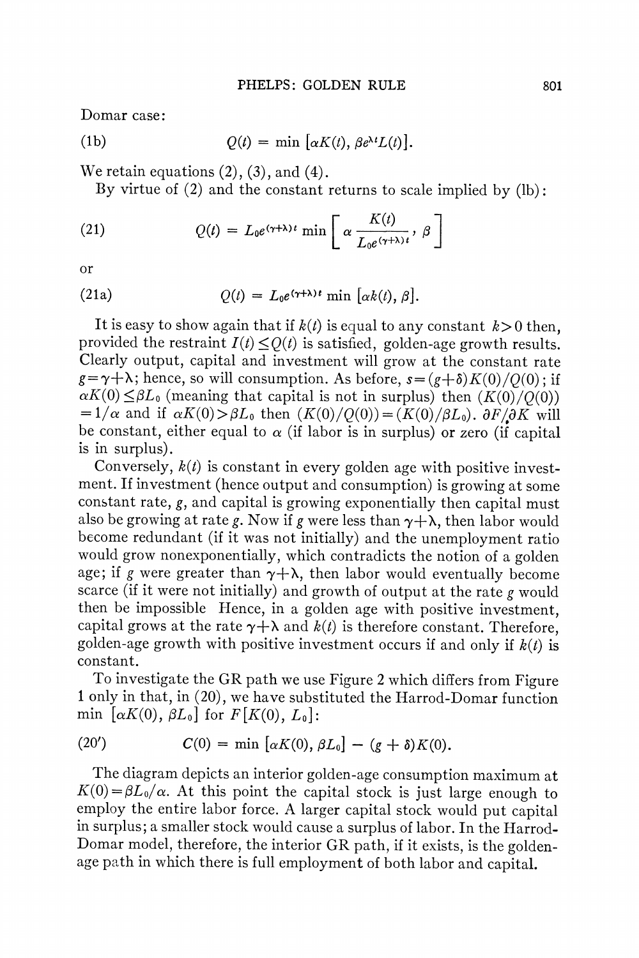**Domar case:** 

(1b) 
$$
Q(t) = \min \left[ \alpha K(t), \beta e^{\lambda t} L(t) \right].
$$

**We retain equations (2), (3), and (4).** 

**By virtue of (2) and the constant returns to scale implied by (lb):** 

(21) 
$$
Q(t) = L_0 e^{(\gamma + \lambda)t} \min \left[ \alpha \frac{K(t)}{L_0 e^{(\gamma + \lambda)t}}, \beta \right]
$$

**or** 

(21a) 
$$
Q(t) = L_0 e^{(\gamma + \lambda)t} \min [\alpha k(t), \beta].
$$

It is easy to show again that if  $k(t)$  is equal to any constant  $k > 0$  then. provided the restraint  $I(t) \leq Q(t)$  is satisfied, golden-age growth results. **Clearly output, capital and investinent will grow at the constant rate**   $g=\gamma+\lambda$ ; hence, so will consumption. As before,  $s=(g+\delta)K(0)/Q(0)$ ; if  $\alpha K(0) \leq \beta L_0$  (meaning that capital is not in surplus) then  $(K(0)/O(0))$  $=1/\alpha$  and if  $\alpha K(0) > \beta L_0$  then  $(K(0)/Q(0)) = (K(0)/\beta L_0)$ .  $\partial F/\partial K$  will be constant, either equal to  $\alpha$  (if labor is in surplus) or zero (if capital **is in surplus).** 

Conversely,  $k(t)$  is constant in every golden age with positive invest**ment. If investment (hence output and consumption) is growing at some constant rate, g, and capital is growing exponentially then capital must**  also be growing at rate g. Now if g were less than  $\gamma + \lambda$ , then labor would **become redundant (if it was not initially) and the unemployment ratio would grow nonexponentially, which contradicts the notion of a golden**  age; if g were greater than  $\gamma + \lambda$ , then labor would eventually become **scarce (if it were not initially) and growth of output at the rate g would then be impossible Hence, in a golden age with positive investment,**  capital grows at the rate  $\gamma + \lambda$  and  $k(t)$  is therefore constant. Therefore, golden-age growth with positive investment occurs if and only if  $k(t)$  is **constant.** 

**To investigate the GR path we use Figure 2 which differs from Figure 1 only in that, in (20), we have substituted the Harrod-Domar function**  min  $\lbrack \alpha K(0), \beta L_0 \rbrack$  for  $F[K(0), L_0]$ :

(20') 
$$
C(0) = \min [\alpha K(0), \beta L_0] - (g + \delta) K(0).
$$

**The diagram depicts an interior golden-age consumption maximum at**   $K(0) = \beta L_0/\alpha$ . At this point the capital stock is just large enough to **employ the entire labor force. A larger capital stock would put capital in surplus; a smaller stock would cause a surplus of labor. In the Harrod-Domar model, therefore, the interior GR path, if it exists, is the goldenage path in which there is full employment of both labor and capital.**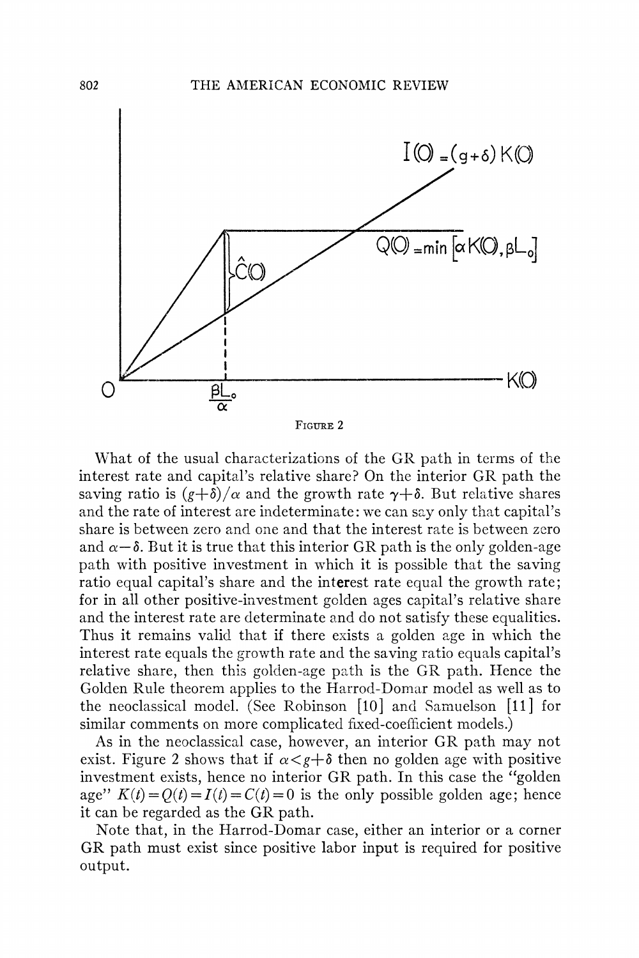

**What of the usual characterizations of the GR path in terms of the interest rate and capital's relative share? On the interior GR path the**  saving ratio is  $(g+\delta)/\alpha$  and the growth rate  $\gamma+\delta$ . But relative shares **and the rate of interest are indeterminate: we can say only that capital's share is between zero and one and that the interest rate is between zero**  and  $\alpha-\delta$ . But it is true that this interior GR path is the only golden-age **path with positive investment in which it is possible that the saving ratio equal capital's share and the interest rate equal the growth rate; for in all other positive-investment golden ages capital's relative share and the interest rate are determinate and do not satisfy these equalities. Thus it remains valid that if there exists a golden age in which the interest rate equals the growth rate and the saving ratio equals capital's relative share, then this golden-age path is the GR path. Hence the Golden Rule theorem applies to the Harrod-Domar model as well as to the neoclassical model. (See Robinson [10] and Samuelson [11] for similar comments on more complicated fixed-coefficient models.)** 

**As in the neoclassical case, however, an interior GR path may not**  exist. Figure 2 shows that if  $\alpha < g + \delta$  then no golden age with positive **investment exists, hence no interior GR. path. In this case the "golden**  age"  $K(t) = Q(t) = I(t) = C(t) = 0$  is the only possible golden age; hence **it can be regarded as the GR path.** 

**Note that, in the Harrod-Domar case, either an interior or a corner GR path must exist since positive labor input is required for positive output.**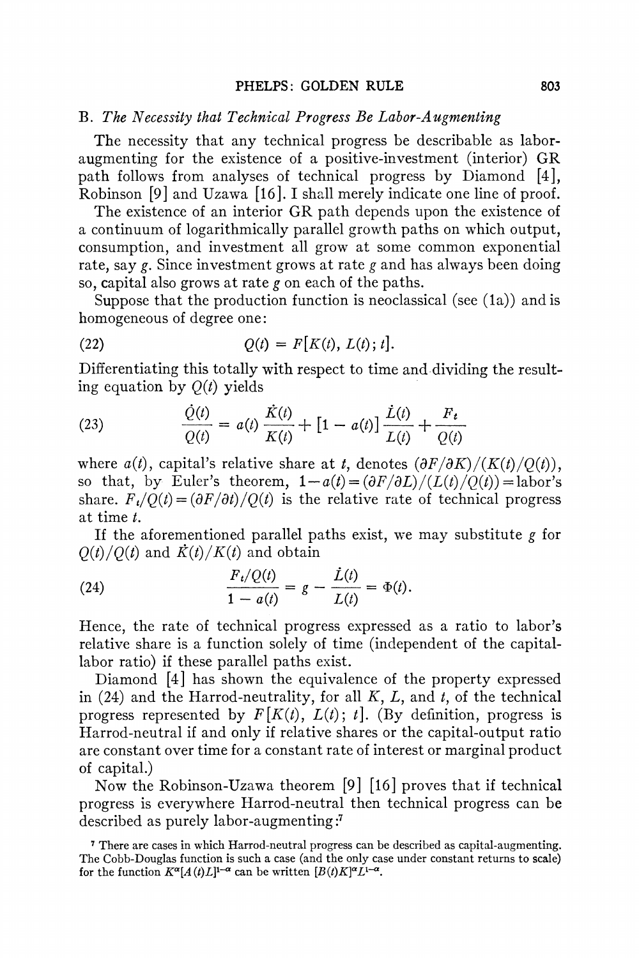### **B. The Necessity that Technical Progress Be Labor-Augmenting**

**The necessity that any technical progress be describable as laboraugmenting for the existence of a positive-investment (interior) GR path follows from analyses of technical progress by Diamond [4], Robinson [9] and Uzawa [16]. I shall merely indicate one line of proof.** 

**The existence of an interior GR path depends upon the existence of a continuum of logarithmically parallel growth paths on which output, consumption, and investment all grow at some common exponential rate, say g. Since investment grows at rate g and has always been doing so, capital also grows at rate g on each of the paths.** 

Suppose that the production function is neoclassical (see (1a)) and is **homogeneous of degree one:** 

(22) 
$$
Q(t) = F[K(t), L(t); t].
$$

**Differentiating this totally with respect to time and dividing the result**ing equation by  $Q(t)$  yields

(23) 
$$
\frac{\dot{Q}(t)}{Q(t)} = a(t) \frac{\dot{K}(t)}{K(t)} + [1 - a(t)] \frac{\dot{L}(t)}{L(t)} + \frac{F_t}{Q(t)}
$$

where  $a(t)$ , capital's relative share at t, denotes  $(\partial F/\partial K)/(K(t)/Q(t))$ , so that, by Euler's theorem,  $1-a(t) = \frac{\partial F}{\partial L} / \frac{L(t)}{\partial L} = \frac{\text{labor's}}{\text{labor's}}$ share.  $F_t/Q(t) = (\partial F/\partial t)/Q(t)$  is the relative rate of technical progress **at time t.** 

**If the aforementioned parallel paths exist, we may substitute g for**   $Q(t)/Q(t)$  and  $\dot{K}(t)/K(t)$  and obtain

(24) 
$$
\frac{F_i/Q(t)}{1 - a(t)} = g - \frac{\dot{L}(t)}{L(t)} = \Phi(t).
$$

**Hence, the rate of technical progress expressed as a ratio to labor's relative share is a function solely of time (independent of the capitallabor ratio) if these parallel paths exist.** 

**Diamond [4] has shown the equivalence of the property expressed in (24) and the Harrod-neutrality, for all K, L, and t, of the technical**  progress represented by  $F[K(t), L(t); t]$ . (By definition, progress is **Harrod-neutral if and only if relative shares or the capital-output ratio are constant over time for a constant rate of interest or marginal product of capital.)** 

**Now the Robinson-Uzawa theorem [9] [16] proves that if technical progress is everywhere Harrod-neutral then technical progress can be described as purely labor-augmenting :'** 

**<sup>7</sup> There are cases in which Harrod-neutral progress can be described as capital-augmenting. The Cobb-Douglas function is such a case (and the only case under constant returns to scale)**  for the function  $K^{\alpha}[A(t)L]^{1-\alpha}$  can be written  $[B(t)K]^{\alpha}L^{1-\alpha}$ .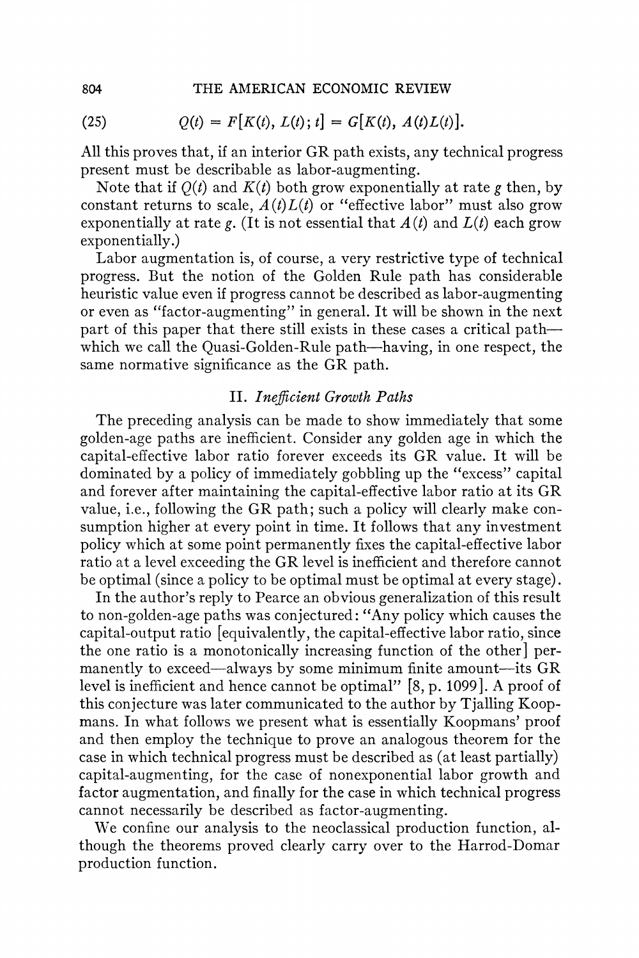(25) 
$$
Q(t) = F[K(t), L(t); t] = G[K(t), A(t)L(t)].
$$

**All this proves that, if an interior GR path exists, any technical progress present must be describable as labor-augmenting.** 

Note that if  $O(t)$  and  $K(t)$  both grow exponentially at rate g then, by constant returns to scale,  $A(t)L(t)$  or "effective labor" must also grow exponentially at rate  $\epsilon$ . (It is not essential that  $A(t)$  and  $L(t)$  each grow **exponentially.)** 

**Labor augmentation is, of course, a very restrictive type of technical progress. But the notion of the Golden Rule path has considerable heuristic value even if progress cannot be described as labor-augmenting or even as "factor-augmenting" in general. It will be shown in the next part of this paper that there still exists in these cases a critical path**which we call the Quasi-Golden-Rule path—having, in one respect, the **same normative significance as the GR path.** 

## **II. Inefficient Growth Paths**

**The preceding analysis can be made to show immediately that some golden-age paths are inefficient. Consider any golden age in which the capital-effective labor ratio forever exceeds its GR value. It will be dominated by a policy of immediately gobbling up the "excess" capital and forever after maintaining the capital-effective labor ratio at its GR value, i.e., following the GR path; such a policy will clearly make consumption higher at every point in time. It follows that any investment policy which at some point permanently fixes the capital-effective labor ratio at a level exceeding the GR level is inefficient and therefore cannot be optimal (since a policy to be optimal must be optimal at every stage).** 

**In the author's reply to Pearce an obvious generalization of this result to non-golden-age paths was conjectured: "Any policy which causes the capital-output ratio [equivalently, the capital-effective labor ratio, since the one ratio is a monotonically increasing function of the other] permanently to exceed-always by some minimum finite amount-its GR level is inefficient and hence cannot be optimal" [8, p. 1099]. A proof of this conjecture was later communicated to the author by Tjalling Koopmans. In what follows we present what is essentially Koopmans' proof and then employ the technique to prove an analogous theorem for the case in which technical progress must be described as (at least partially) capital-augmenting, for the case of nonexponential labor growth and factor augmentation, and finally for the case in which technical progress cannot necessarily be described as factor-augmenting.** 

**We confine our analysis to the neoclassical production function, although the theorems proved clearly carry over to the Harrod-Domar production function.**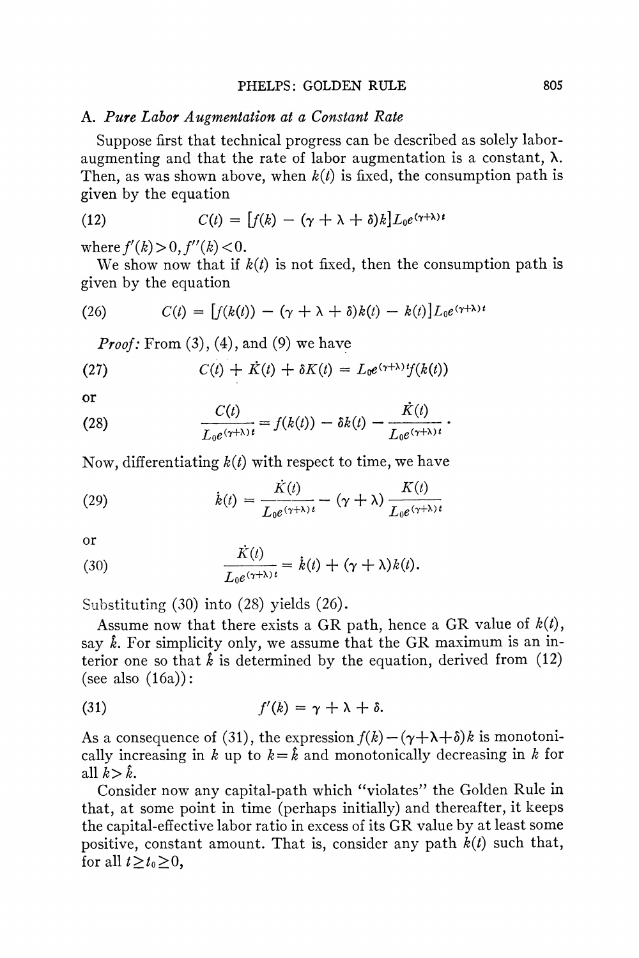#### **A. Pure Labor Augmentation at a Constant Rate**

**Suppose first that technical progress can be described as solely laboraugmenting and that the rate of labor augmentation is a constant, X.**  Then, as was shown above, when  $k(t)$  is fixed, the consumption path is **given by the equation** 

(12) 
$$
C(t) = [f(k) - (\gamma + \lambda + \delta)k]L_0e^{(\gamma + \lambda)t}
$$

where  $f'(k) > 0$ ,  $f''(k) < 0$ .

We show now that if  $k(t)$  is not fixed, then the consumption path is **given by the equation** 

(26) 
$$
C(t) = [f(k(t)) - (\gamma + \lambda + \delta)k(t) - k(t)]L_0e^{(\gamma + \lambda)t}
$$

**Proof: From (3), (4), and (9) we have** 

(27) 
$$
C(t) + K(t) + \delta K(t) = L_0 e^{(\gamma + \lambda)t} f(k(t))
$$

**or** 

(28) 
$$
\frac{C(t)}{L_0 e^{(\gamma+\lambda)t}} = f(k(t)) - \delta k(t) - \frac{\dot{K}(t)}{L_0 e^{(\gamma+\lambda)t}}.
$$

**Now, differentiating k(t) with respect to time, we have** 

(29) 
$$
\dot{k}(t) = \frac{K(t)}{L_0 e^{(\gamma + \lambda)t}} - (\gamma + \lambda) \frac{K(t)}{L_0 e^{(\gamma + \lambda)t}}
$$

**or** 

(30) 
$$
\frac{\dot{K}(t)}{L_0 e^{(\gamma + \lambda)t}} = \dot{k}(t) + (\gamma + \lambda) k(t).
$$

**Substituting (30) into (28) yields (26).** 

Assume now that there exists a GR path, hence a GR value of  $k(t)$ , **say k. For simplicity only, we assume that the GR maximum is an in**terior one so that  $\hat{k}$  is determined by the equation, derived from  $(12)$ **(see also (16a)):** 

(31) 
$$
f'(k) = \gamma + \lambda + \delta.
$$

As a consequence of (31), the expression  $f(k) - (\gamma + \lambda + \delta)k$  is monotonically increasing in k up to  $k = \hat{k}$  and monotonically decreasing in k for all  $k > \hat{k}$ .

**Consider now any capital-path which "violates" the Golden Rule in that, at some point in time (perhaps initially) and thereafter, it keeps the capital-effective labor ratio in excess of its GR value by at least some**  positive, constant amount. That is, consider any path  $k(t)$  such that, for all  $t \geq t_0 \geq 0$ ,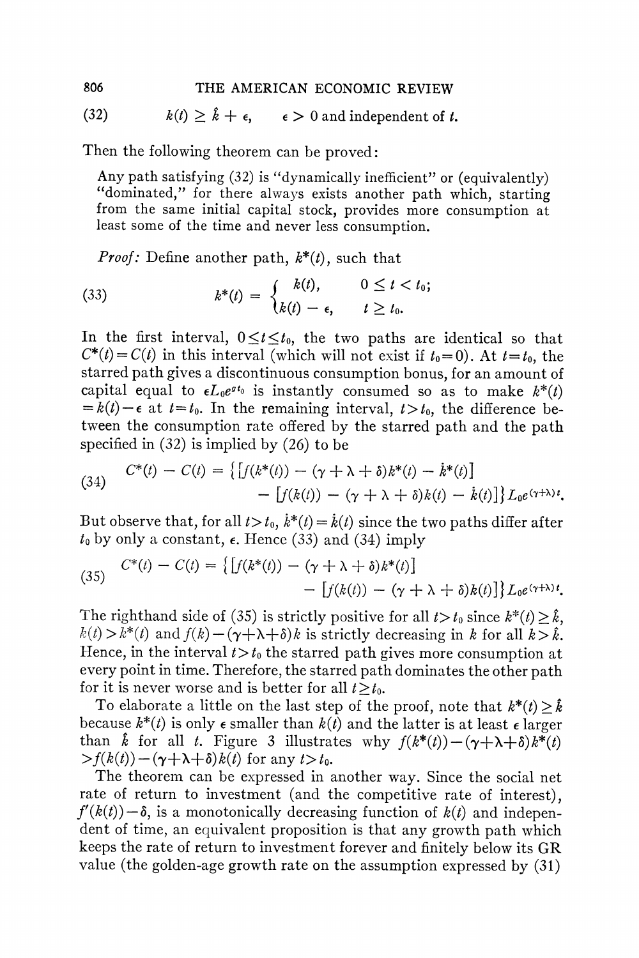(32)  $k(t) \geq \hat{k} + \epsilon$ ,  $\epsilon > 0$  and independent of *t*.

**Then the following theorem can be proved:** 

**Any path satisfying (32) is "dynamically inefficient" or (equivalently) "dominated," for there always exists another path which, starting from the same initial capital stock, provides more consumption at least some of the time and never less consumption.** 

*Proof:* **Define another path,**  $k^*(t)$ **, such that** 

(33) 
$$
k^*(t) = \begin{cases} k(t), & 0 \leq t < t_0; \\ k(t) - \epsilon, & t \geq t_0. \end{cases}
$$

In the first interval,  $0 \le t \le t_0$ , the two paths are identical so that  $C^*(t) = C(t)$  in this interval (which will not exist if  $t_0 = 0$ ). At  $t = t_0$ , the **starred path gives a discontinuous consumption bonus, for an amount of**  capital equal to  $\epsilon L_0 e^{gt_0}$  is instantly consumed so as to make  $k^*(t)$  $=k(t)-\epsilon$  at  $t=t_0$ . In the remaining interval,  $t>t_0$ , the difference be**tween the consumption rate offered by the starred path and the path specified in (32) is implied by (26) to be** 

(34) 
$$
C^*(t) - C(t) = \left\{ \left[ f(k^*(t)) - (\gamma + \lambda + \delta)k^*(t) - k^*(t) \right] - \left[ f(k(t)) - (\gamma + \lambda + \delta)k(t) - k(t) \right] \right\} L_0 e^{(\gamma + \lambda)t}.
$$

But observe that, for all  $t > t_0$ ,  $\dot{k}^*(t) = \dot{k}(t)$  since the two paths differ after  $t_0$  by only a constant,  $\epsilon$ . Hence (33) and (34) imply

(35) 
$$
C^*(t) - C(t) = \left\{ \left[ f(k^*(t)) - (\gamma + \lambda + \delta)k^*(t) \right] - \left[ f(k(t)) - (\gamma + \lambda + \delta)k(t) \right] \right\} L_0 e^{(\gamma + \lambda)t}.
$$

The righthand side of (35) is strictly positive for all  $t > t_0$  since  $k^*(t) \geq \hat{k}$ ,  $k(t) > k^*(t)$  and  $f(k) - (\gamma + \lambda + \delta)k$  is strictly decreasing in k for all  $k > k$ . Hence, in the interval  $t > t_0$  the starred path gives more consumption at **every point in time. Therefore, the starred path dominates the other path**  for it is never worse and is better for all  $t > t_0$ .

To elaborate a little on the last step of the proof, note that  $k^*(t) > \hat{k}$ **because**  $k^*(t)$  is only  $\epsilon$  smaller than  $k(t)$  and the latter is at least  $\epsilon$  larger **than**  $\hat{k}$  **for all** *t***. Figure 3 illustrates why**  $f(k^*(t)) - (\gamma + \lambda + \delta)k^*(t)$  $\frac{\partial f(k(t)) - (\gamma + \lambda + \delta)k(t)}{\partial t}$  for any  $t > t_0$ .

**The theorem can be expressed in another way. Since the social net rate of return to investment (and the competitive rate of interest),**   $f'(k(t)) - \delta$ , is a monotonically decreasing function of  $k(t)$  and indepen**dent of time, an equivalent proposition is that any growth path which keeps the rate of return to investment forever and finitely below its GR value (the golden-age growth rate on the assumption expressed by (31)**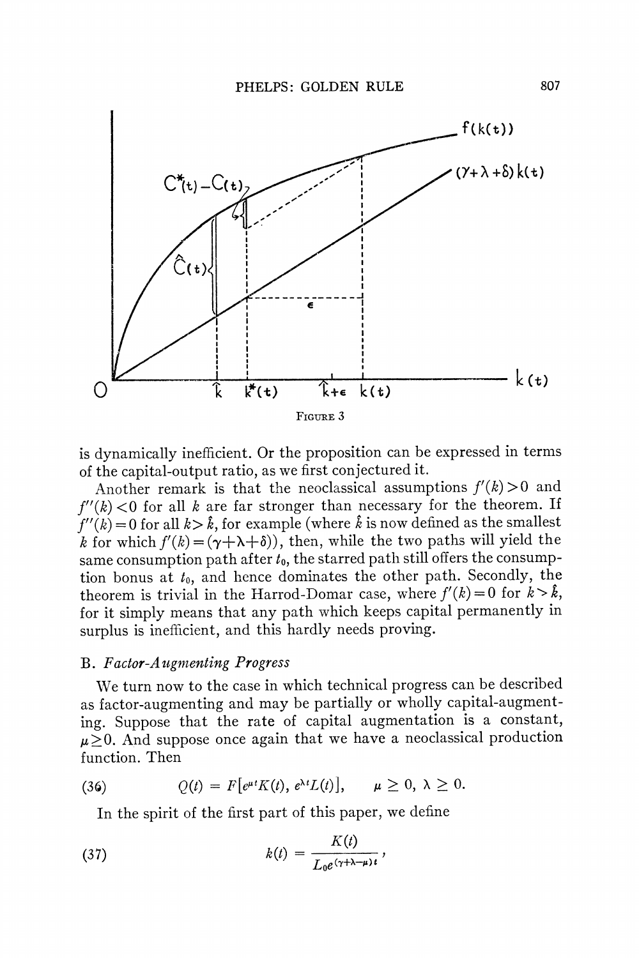

**is dynamically inefficient. Or the proposition can be expressed in terms of the capital-output ratio, as we first conjectured it.** 

Another remark is that the neoclassical assumptions  $f'(k) > 0$  and  $f''(k)$  < 0 for all k are far stronger than necessary for the theorem. If  $f''(k) = 0$  for all  $k > \hat{k}$ , for example (where  $\hat{k}$  is now defined as the smallest  $k$  for which  $f'(k) = (\gamma + \lambda + \delta)$ , then, while the two paths will yield the **same consumption path after to, the starred path still offers the consumption bonus at to, and hence dominates the other path. Secondly, the theorem is trivial in the Harrod-Domar case, where**  $f'(k) = 0$  **for**  $k > \hat{k}$ **, for it simply means that any path which keeps capital permanently in surplus is inefficient, and this hardly needs proving.** 

#### **B.** Factor-Augmenting Progress

We turn now to the case in which technical progress can be described **as factor-augmenting and may be partially or wholly capital-augmenting. Suppose that the rate of capital augmentation is a constant,**   $\mu > 0$ . And suppose once again that we have a neoclassical production **function. Then** 

(36) 
$$
Q(t) = F[e^{\mu t}K(t), e^{\lambda t}L(t)], \quad \mu \geq 0, \lambda \geq 0.
$$

**In the spirit of the first part of this paper, we define** 

(37) 
$$
k(t) = \frac{K(t)}{L_0 e^{(\gamma + \lambda - \mu)t}},
$$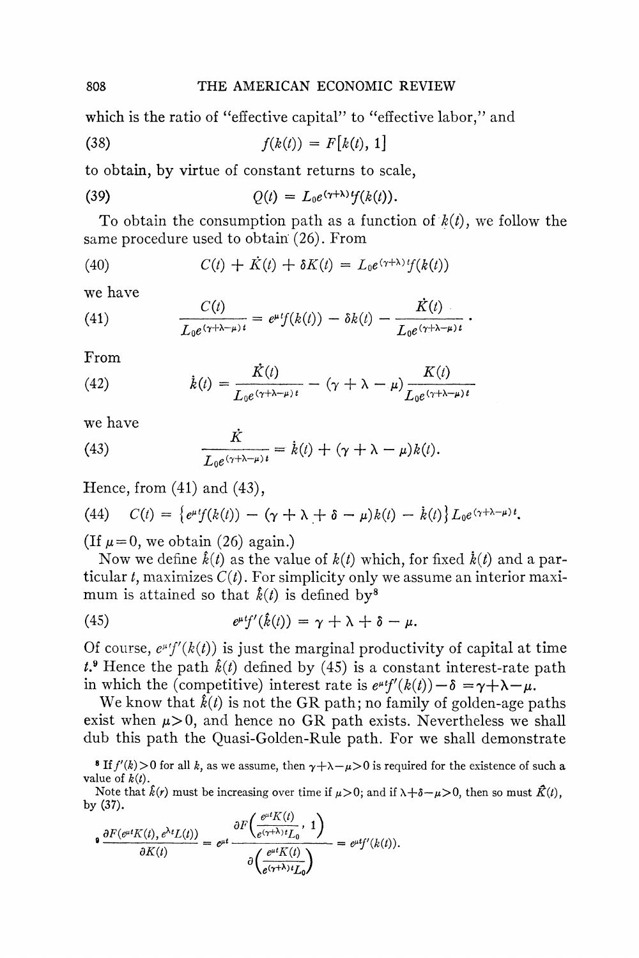**which is the ratio of "effective capital" to "effective labor," and** 

(38) 
$$
f(k(t)) = F[k(t), 1]
$$

**to obtain, by virtue of constant returns to scale,** 

(39) 
$$
Q(t) = L_0 e^{(\gamma + \lambda) t} f(k(t)).
$$

To obtain the consumption path as a function of  $k(t)$ , we follow the **same procedure used to obtain (26). From** 

(40) 
$$
C(t) + K(t) + \delta K(t) = L_0 e^{(\gamma + \lambda) t} f(k(t))
$$

**we have** 

(41) 
$$
\frac{C(t)}{L_0 e^{(\gamma + \lambda - \mu)t}} = e^{\mu t} f(k(t)) - \delta k(t) - \frac{\dot{K}(t)}{L_0 e^{(\gamma + \lambda - \mu)t}}.
$$

**From** 

(42) 
$$
\dot{k}(t) = \frac{K(t)}{L_0 e^{(\gamma + \lambda - \mu)t}} - (\gamma + \lambda - \mu) \frac{K(t)}{L_0 e^{(\gamma + \lambda - \mu)t}}
$$

**we have** 

(43) 
$$
\frac{\dot{K}}{L_0 e^{(\gamma + \lambda - \mu)t}} = \dot{k}(t) + (\gamma + \lambda - \mu) k(t).
$$

**Hence, from (41) and (43),** 

(44) 
$$
C(t) = \left\{e^{\mu t}f(k(t)) - (\gamma + \lambda + \delta - \mu)k(t) - k(t)\right\}L_0e^{(\gamma + \lambda - \mu)t}.
$$

(If  $\mu=0$ , we obtain (26) again.)

Now we define  $\hat{k}(t)$  as the value of  $k(t)$  which, for fixed  $\hat{k}(t)$  and a par**ticular t, maximizes C(t). For simplicity only we assume an interior maxi**mum is attained so that  $\hat{k}(t)$  is defined by<sup>8</sup>

(45) 
$$
e^{\mu t}f'(\hat{k}(t)) = \gamma + \lambda + \delta - \mu.
$$

Of course,  $e^{\mu t}f'(k(t))$  is just the marginal productivity of capital at time  $t^2$ **Hence the path**  $\hat{k}(t)$  **defined by (45) is a constant interest-rate path** in which the (competitive) interest rate is  $e^{\mu t}f'(k(t)) - \delta = \gamma + \lambda - \mu$ .

We know that  $\hat{k}(t)$  is not the GR path; no family of golden-age paths exist when  $\mu > 0$ , and hence no GR path exists. Nevertheless we shall **dub this path the Quasi-Golden-Rule path. For we shall demonstrate** 

**8** If  $f'(k) > 0$  for all k, as we assume, then  $\gamma + \lambda - \mu > 0$  is required for the existence of such a **value of**  $k(t)$ **.** 

Note that  $\hat{k}(r)$  must be increasing over time if  $\mu > 0$ ; and if  $\lambda + \delta - \mu > 0$ , then so must  $\hat{K}(t)$ , **by (37).**   $\int_{-\infty}^{\infty} dt V'(t)$ 

$$
\mathbf{P} \frac{\partial F(e^{\mu t} K(t), e^{\lambda t} L(t))}{\partial K(t)} = e^{\mu t} \frac{\partial F\left(\frac{e^{\mu t} K(t)}{e^{(\gamma+\lambda)t} L_0}, 1\right)}{\partial \left(\frac{e^{\mu t} K(t)}{e^{(\gamma+\lambda)t} L_0}\right)} = e^{\mu t} f'(k(t)).
$$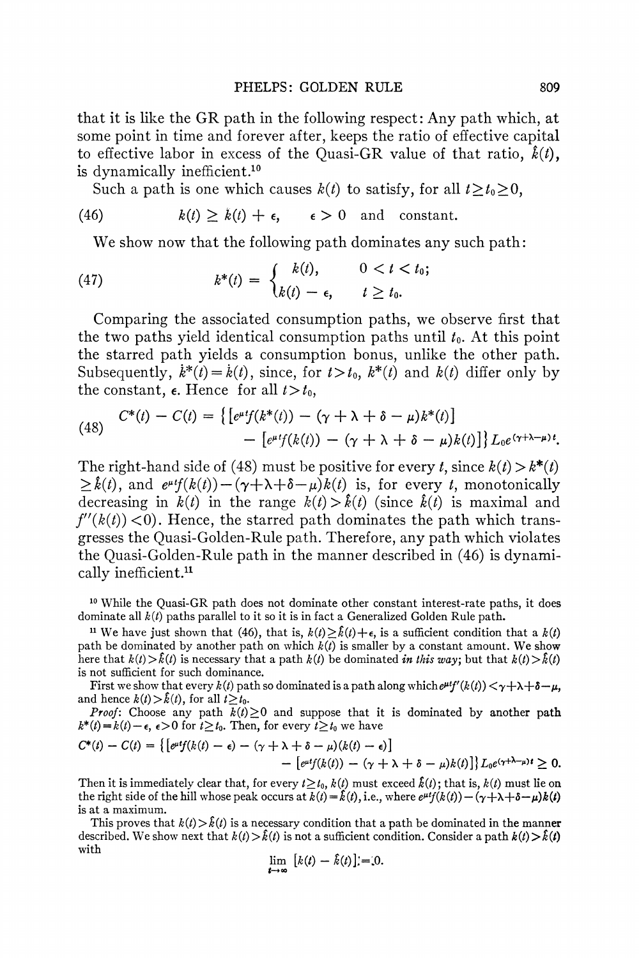**that it is like the GR path in the following respect: Any path which, at some point in time and forever after, keeps the ratio of effective capital**  to effective labor in excess of the Quasi-GR value of that ratio,  $\hat{k}(t)$ , **is dynamically inefficient.10** 

Such a path is one which causes  $k(t)$  to satisfy, for all  $t \geq t_0 \geq 0$ ,

(46) 
$$
k(t) \geq k(t) + \epsilon
$$
,  $\epsilon > 0$  and constant.

**We show now that the following path dominates any such path:** 

(47) 
$$
k^*(t) = \begin{cases} k(t), & 0 < t < t_0; \\ k(t) - \epsilon, & t \ge t_0. \end{cases}
$$

**Comparing the associated consumption paths, we observe first that**  the two paths yield identical consumption paths until  $t<sub>0</sub>$ . At this point **the starred patn yields a consumption bonus, unlike the other path.**  Subsequently,  $\dot{k}^*(t) = \dot{k}(t)$ , since, for  $t > t_0$ ,  $k^*(t)$  and  $k(t)$  differ only by the constant,  $\epsilon$ . Hence for all  $t > t_0$ ,

(48) 
$$
C^*(t) - C(t) = \left\{ \left[ e^{\mu t} f(k^*(t)) - (\gamma + \lambda + \delta - \mu) k^*(t) \right] - \left[ e^{\mu t} f(k(t)) - (\gamma + \lambda + \delta - \mu) k(t) \right] \right\} L_0 e^{(\gamma + \lambda - \mu)t}.
$$

The right-hand side of (48) must be positive for every t, since  $k(t) > k^*(t)$  $\geq k(t)$ , and  $e^{\mu t}f(k(t))-(\gamma+\lambda+\delta-\mu)k(t)$  is, for every t, monotonically decreasing in  $k(t)$  in the range  $k(t) > k(t)$  (since  $k(t)$ ) is maximal and  $f''(k(t)) < 0$ . Hence, the starred path dominates the path which trans**gresses the Quasi-Golden-Rule path. Therefore, any path which violates the Quasi-Golden-Rule path in the manner described in (46) is dynamically inefficient."** 

**<sup>10</sup>While the Quasi-GR path does not dominate other constant interest-rate paths, it does**  dominate all  $k(t)$  paths parallel to it so it is in fact a Generalized Golden Rule path.

<sup>11</sup> We have just shown that (46), that is,  $k(t) \geq \hat{k}(t) + \epsilon$ , is a sufficient condition that a  $k(t)$ path be dominated by another path on which  $k(t)$  is smaller by a constant amount. We show here that  $k(t) > \hat{k}(t)$  is necessary that a path  $k(t)$  be dominated *in this way*; but that  $k(t) > \hat{k}(t)$ **is not sufficient for such dominance.** 

**First** we show that every  $k(t)$  path so dominated is a path along which  $e^{\mu t}f'(k(t)) < \gamma + \lambda + \delta - \mu$ , and hence  $k(t) > \hat{k}(t)$ , for all  $t \geq t_0$ .

**Proof:** Choose any path  $k(t) \geq 0$  and suppose that it is dominated by another path  $k^*(t) = k(t) - \epsilon$ ,  $\epsilon > 0$  for  $t \ge t_0$ . Then, for every  $t \ge t_0$  we have

$$
C^*(t) - C(t) = \{ \big[ e^{\mu t} f(k(t) - \epsilon) - (\gamma + \lambda + \delta - \mu)(k(t) - \epsilon) \big] - \big[ e^{\mu t} f(k(t)) - (\gamma + \lambda + \delta - \mu)k(t) \big] \} L_0 e^{(\gamma + \lambda - \mu)t} \geq 0.
$$

Then it is immediately clear that, for every  $t \geq t_0$ ,  $k(t)$  must exceed  $\hat{k}(t)$ ; that is,  $k(t)$  must lie on the right side of the hill whose peak occurs at  $k(t) = \hat{k}(t)$ , i.e., where  $e^{\mu t}f(k(t)) - (\gamma + \lambda + \delta - \mu)k(t)$ **is at a maximum.** 

This proves that  $k(t) > \hat{k}(t)$  is a necessary condition that a path be dominated in the manner described. We show next that  $k(t) > \hat{k}(t)$  is not a sufficient condition. Consider a path  $k(t) > \hat{k}(t)$ **with** 

$$
\lim_{t\to\infty}\left[k(t)-\hat{k}(t)\right]=0.
$$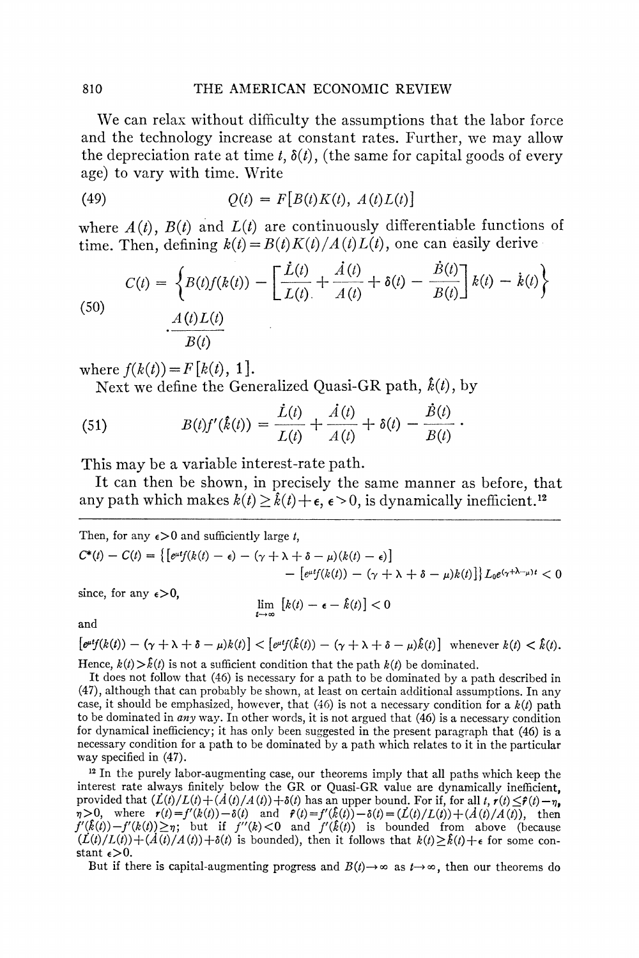**We can relax without difficulty the assumptions that the labor force and the technology increase at constant rates. Further, we may allow**  the depreciation rate at time  $t$ ,  $\delta(t)$ , (the same for capital goods of every **age) to vary with time. Write** 

$$
(49) \qquad Q(t) = F[B(t)K(t), A(t)L(t)]
$$

where  $A(t)$ ,  $B(t)$  and  $L(t)$  are continuously differentiable functions of time. Then, defining  $k(t) = B(t)K(t)/A(t)L(t)$ , one can easily derive

(50)  

$$
C(t) = \left\{ B(t)f(k(t)) - \left[ \frac{\dot{L}(t)}{L(t)} + \frac{\dot{A}(t)}{A(t)} + \delta(t) - \frac{B(t)}{B(t)} \right] k(t) - \dot{k}(t) \right\}
$$

$$
\cdot \frac{A(t)L(t)}{B(t)}
$$

where  $f(k(t)) = F[k(t), 1]$ .

Next we define the Generalized Quasi-GR path,  $\hat{k}(t)$ , by

(51) 
$$
B(t)f'(\hat{k}(t)) = \frac{\hat{L}(t)}{L(t)} + \frac{\hat{A}(t)}{A(t)} + \delta(t) - \frac{\hat{B}(t)}{B(t)}.
$$

**This may be a variable interest-rate path.** 

**It can then be shown, in precisely the same manner as before, that**  any path which makes  $k(t) > \hat{k}(t) + \epsilon$ ,  $\epsilon > 0$ , is dynamically inefficient.<sup>12</sup>

Then, for any  $\epsilon > 0$  and sufficiently large *t*,  $C^*(t) - C(t) = \{ [e^{it}f(k(t) - \epsilon) - (\gamma + \lambda + \delta - \mu)(k(t) - \epsilon) ] \}$  $\left[e^{\mu t}f(k(t)) - (\gamma + \lambda + \delta - \mu)k(t)\right]L_0e^{(\gamma + \lambda - \mu)t} < 0$ 

since, for any  $\epsilon > 0$ ,

**way specified in (47).** 

$$
\lim_{t\to\infty}\left[k(t)-\epsilon-\hat{k}(t)\right]<0
$$

**and** 

 $\left[\varrho^{uf}(k(t)) - (\gamma + \lambda + \delta - \mu)k(t)\right] < \left[\varrho^{uf}(\hat{k}(t)) - (\gamma + \lambda + \delta - \mu)\hat{k}(t)\right]$  whenever  $k(t) < \hat{k}(t)$ . **Hence,**  $k(t) > k(t)$  **is not a sufficient condition that the path**  $k(t)$  **be dominated.** 

**It does not follow that (46) is necessary for a path to be dominated by a path described in (47), although that can probably be shown, at least on certain additional assumptions. In any**  case, it should be emphasized, however, that  $(46)$  is not a necessary condition for a  $k(t)$  path **to be dominated in any way. In other words, it is not argued that (46) is a necessary condition for dynamical inefficiency; it has only been suggested in the present paragraph that (46) is a necessary condition for a path to be dominated by a path which relates to it in the particular** 

**<sup>12</sup>In the purely labor-augmenting case, our theorems imply that all paths which keep the interest rate always finitely below the GR or Quasi-GR value are dynamically inefficient, provided that**  $(L(t)/L(t) + (A(t)/A(t)) + \delta(t)$  **has an upper bound. For if, for all t,**  $r(t) \leq r(t) - r$ **, 7>0,** where  $r(t) = f'(k(t)) - \delta(t)$  and  $\hat{r}(t) = f'(\hat{k}(t)) - \delta(t) = (\hat{L}(t)/L(t)) + (A(t)/A(t))$ , then  $f'(k(t)) - f'(k(t)) \geq \eta$ ; but if  $f''(k) < 0$  and  $f'(k(t))$  is bounded from above (because  $(L(t)/L(t)) + (A(t)/A(t)) + \delta(t)$  is bounded), then it follows that  $k(t) \geq \hat{k}(t) + \epsilon$  for some constant  $\epsilon > 0$ .

But if there is capital-augmenting progress and  $B(t) \rightarrow \infty$  as  $t \rightarrow \infty$ , then our theorems do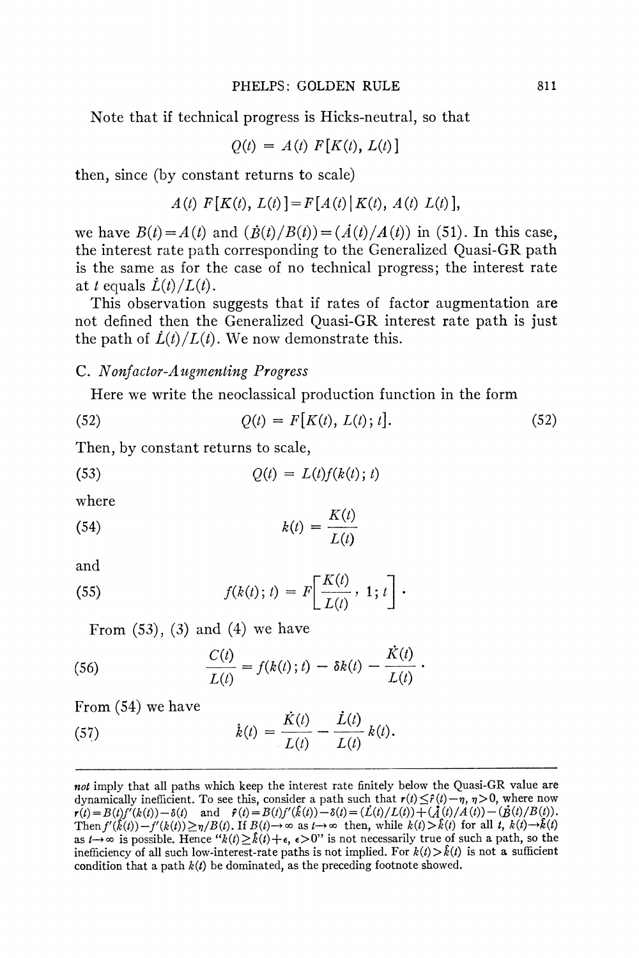**Note that if technical progress is Hicks-neutral, so that** 

$$
Q(t) = A(t) F[K(t), L(t)]
$$

**then, since (by constant returns to scale)** 

$$
A(t) F[K(t), L(t)] = F[A(t) | K(t), A(t) L(t)],
$$

we have  $B(t) = A(t)$  and  $(\dot{B}(t)/B(t)) = (\dot{A}(t)/A(t))$  in (51). In this case, **the interest rate path corresponding to the Generalized Quasi-GR path is the same as for the case of no technical progress; the interest rate**  at *t* equals  $\dot{L}(t)/L(t)$ .

**This observation suggests that if rates of factor augmentation are not defined then the Generalized Quasi-GR interest rate path is just**  the path of  $\dot{L}(t)/L(t)$ . We now demonstrate this.

#### **C. Nonfactor-A ugmenting Progress**

**Here we write the neoclassical production function in the form** 

(52) 
$$
Q(t) = F[K(t), L(t); t].
$$
 (52)

**Then, by constant returns to scale,** 

$$
(53) \tQ(t) = L(t)f(k(t); t)
$$

**where** 

$$
(54) \t\t k(t) = \frac{K(t)}{L(t)}
$$

**and** 

(55) 
$$
f(k(t); t) = F\left[\frac{K(t)}{L(t)}, 1; t\right].
$$

**From (53), (3) and (4) we have** 

(56) 
$$
\frac{C(t)}{L(t)} = f(k(t); t) - \delta k(t) - \frac{K(t)}{L(t)}.
$$

**From (54) we have** 

(57)   
 
$$
\dot{k}(t) = \frac{\dot{K}(t)}{L(t)} - \frac{\dot{L}(t)}{L(t)} k(t).
$$

**not imply that all paths which keep the interest rate finitely below the Quasi-GR value are**  dynamically inefficient. To see this, consider a path such that  $r(t) \leq \hat{r}(t) - \eta$ ,  $\eta > 0$ , where now  $\mathbf{r}(t) = B(t)f'(k(t)) - \delta(t)$  and  $\mathbf{\hat{r}}(t) = B(t)f'(\mathbf{\hat{k}}(t)) - \delta(t) = (L(t)/L(t)) + (A(t)/A(t)) -$ Then  $f'(\hat{k}(t)) - f'(k(t)) \ge \eta/B(t)$ . If  $B(t) \to \infty$  as  $t \to \infty$  then, while  $k(t) > \hat{k}(t)$  for all  $t$ ,  $k(t) \to k(t)$ as  $t \rightarrow \infty$  is possible. Hence " $k(t) \geq \hat{k}(t) + \epsilon$ ,  $\epsilon > 0$ " is not necessarily true of such a path, so the inefficiency of all such low-interest-rate paths is not implied. For  $k(t) > \hat{k}(t)$  is not a sufficient condition that a path  $k(t)$  be dominated, as the preceding footnote showed.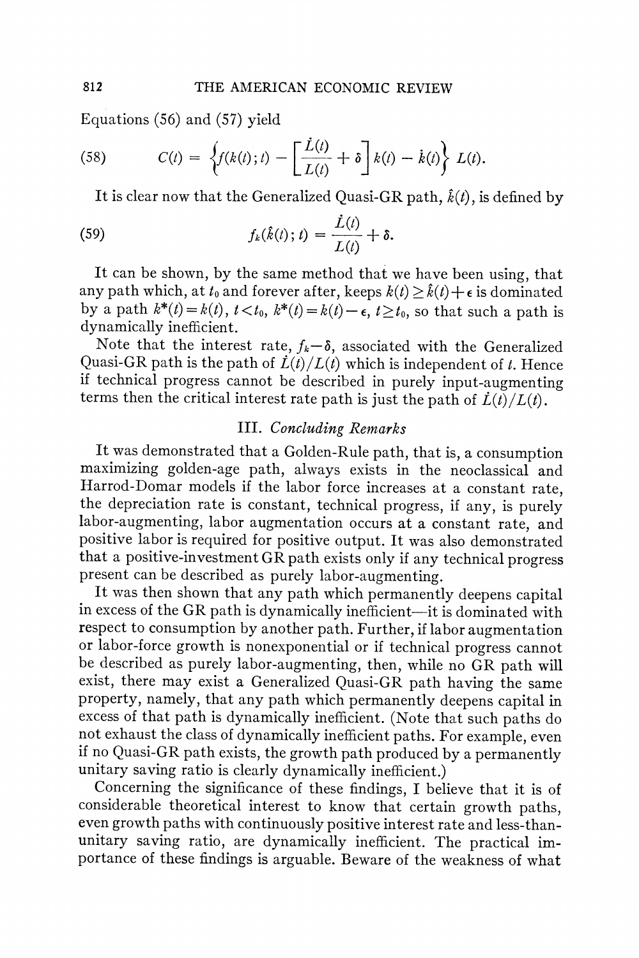**Equations (56) and (57) yield** 

(58) 
$$
C(t) = \left\{ f(k(t); t) - \left[ \frac{\dot{L}(t)}{L(t)} + \delta \right] k(t) - \dot{k}(t) \right\} L(t).
$$

It is clear now that the Generalized Quasi-GR path,  $\hat{k}(t)$ , is defined by

(59) 
$$
f_k(\hat{k}(t); t) = \frac{\dot{L}(t)}{L(t)} + \delta.
$$

**It can be shown, by the same method that we have been using, that**  any path which, at  $t_0$  and forever after, keeps  $k(t) \geq \hat{k}(t) + \epsilon$  is dominated by a path  $k^*(t) = k(t)$ ,  $t < t_0$ ,  $k^*(t) = k(t) - \epsilon$ ,  $t \ge t_0$ , so that such a path is **dynamically inefficient.** 

Note that the interest rate,  $f_k-\delta$ , associated with the Generalized Quasi-GR path is the path of  $\dot{L}(t)/L(t)$  which is independent of *t*. Hence **if technical progress cannot be described in purely input-augmenting**  terms then the critical interest rate path is just the path of  $\dot{L}(t)/L(t)$ .

#### **III. Concluding Remarks**

**It was demonstrated that a Golden-Rule path, that is, a consumption maximizing golden-age path, always exists in the neoclassical and Harrod-Domar models if the labor force increases at a constant rate, the depreciation rate is constant, technical progress, if any, is purely labor-augmenting, labor augmentation occurs at a constant rate, and positive labor is required for positive output. It was also demonstrated that a positive-investment GR path exists only if any technical progress present can be described as purely labor-augmenting.** 

**It was then shown that any path which permanently deepens capital in excess of the GR path is dynamically inefficient-it is dominated with respect to consumption by another path. Further, if labor augmentation or labor-force growth is nonexponential or if technical progress cannot be described as purely labor-augmenting, then, while no GR path will exist, there may exist a Generalized Quasi-GR path having the same property, namely, that any path which permanently deepens capital in excess of that path is dynamically inefficient. (Note that such paths do not exhaust the class of dynamically inefficient paths. For example, even if no Quasi-GR path exists, the growth path produced by a permanently unitary saving ratio is clearly dynamically inefficient.)** 

**Concerning the significance of these findings, I believe that it is of considerable theoretical interest to know that certain growth paths, even growth paths with continuously positive interest rate and less-thanunitary saving ratio, are dynamically inefficient. The practical importance of these findings is arguable. Beware of the weakness of what**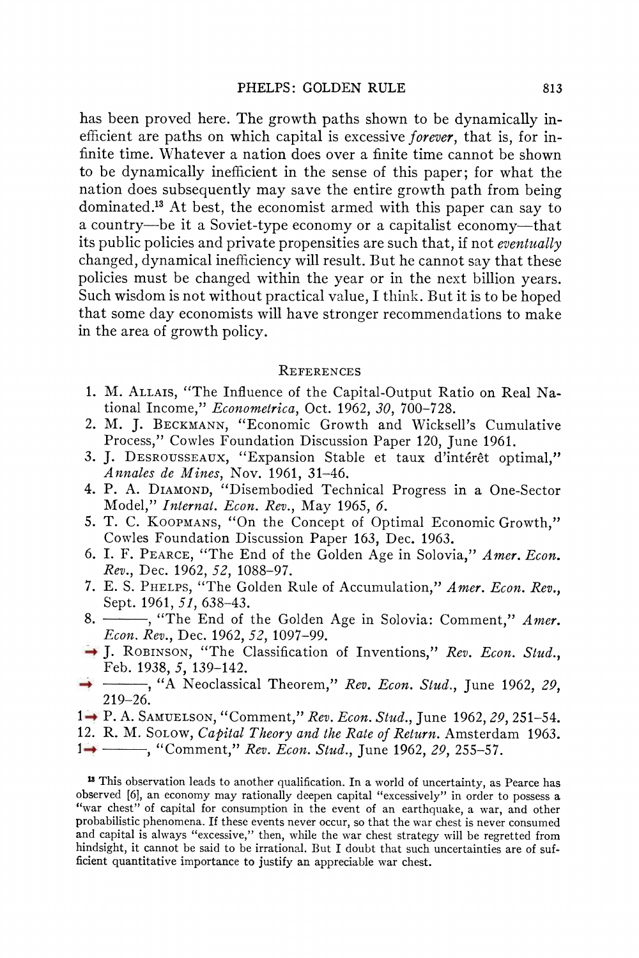**has been proved here. The growth paths shown to be dynamically inefficient are paths on which capital is excessive forever, that is, for infinite time. Whatever a nation does over a finite time cannot be shown to be dynamically inefficient in the sense of this paper; for what the nation does subsequently may save the entire growth path from being dominated."3 At best, the economist armed with this paper can say to a country-be it a Soviet-type economy or a capitalist economy-that its public policies and private propensities are such that, if not eventually changed, dynamical inefficiency will result. But he cannot say that these policies must be changed within the year or in the next billion years.**  Such wisdom is not without practical value, I think. But it is to be hoped **that some day economists will have stronger recommendations to make in the area of growth policy.** 

#### **REFERENCES**

- **1. M. ALLAIS, "The Influence of the Capital-Output Ratio on Real National Income," Econometrica, Oct. 1962, 30, 700-728.**
- **2. M. J. BECKMANN, "Economic Growth and Wicksell's Cumulative Process," Cowles Foundation Discussion Paper 120, June 1961.**
- **3. J. DESROUSSEAUX, "Expansion Stable et taux d'interet optimal," Annales de Mines, Nov. 1961, 31-46.**
- **4. P. A. DIAMOND, "Disembodied Technical Progress in a One-Sector Model," Internat. Econ. Rev., May 1965, 6.**
- **5. T. C. KOOPMANS, "On the Concept of Optimal Economic Growth," Cowles Foundation Discussion Paper 163, Dec. 1963.**
- **6. I. F. PEARCE, "The End of the Golden Age in Solovia," Amer. Econ. Rev., Dec. 1962, 52, 1088-97.**
- **7. E. S. PHELPS, "The Golden Rule of Accumulation," Amer. Econ. Rev., Sept. 1961, 51, 638-43.**
- 8.  $\overline{\hspace{1cm}}$ , "The End of the Golden Age in Solovia: Comment," Amer. **Econ. Rev., Dec. 1962, 52, 1097-99.**
- **9. J. ROBINSON, "The Classification of Inventions," Rev. Econ. Stud., Feb. 1938, 5, 139-142.**
- <sup>4</sup> <sup>1</sup> <sup>4</sup> <sup>4</sup> <sup>4</sup> <sup>4</sup> <sup>4</sup> <sup>4</sup> Neoclassical Theorem," *Rev. Econ. Stud.*, June 1962, 29, **219-26.**
- **11. P. A. SAMUELSON, "Comment," Rev. Econ. Stud., June 1962, 29, 251-54.**
- **12. R. M. SOLOW, Capital Theory and the Rate of Return. Amsterdam 1963.**
- 1<sup>2</sup> Comment," Rev. Econ. Stud., June 1962, 29, 255-57.

**<sup>13</sup>This observation leads to another qualification. In a world of uncertainty, as Pearce has observed [61, an economy may rationally deepen capital "excessively" in order to possess a "war chest" of capital for consumption in the event of an earthquake, a war, and other probabilistic phenomena. If these events never occur, so that the war chest is never consumed and capital is always "excessive," then, while the war chest strategy will be regretted from hindsight, it cannot be said to be irrational. But I doubt that such uncertainties are of sufficient quantitative importance to justify an appreciable war chest.**